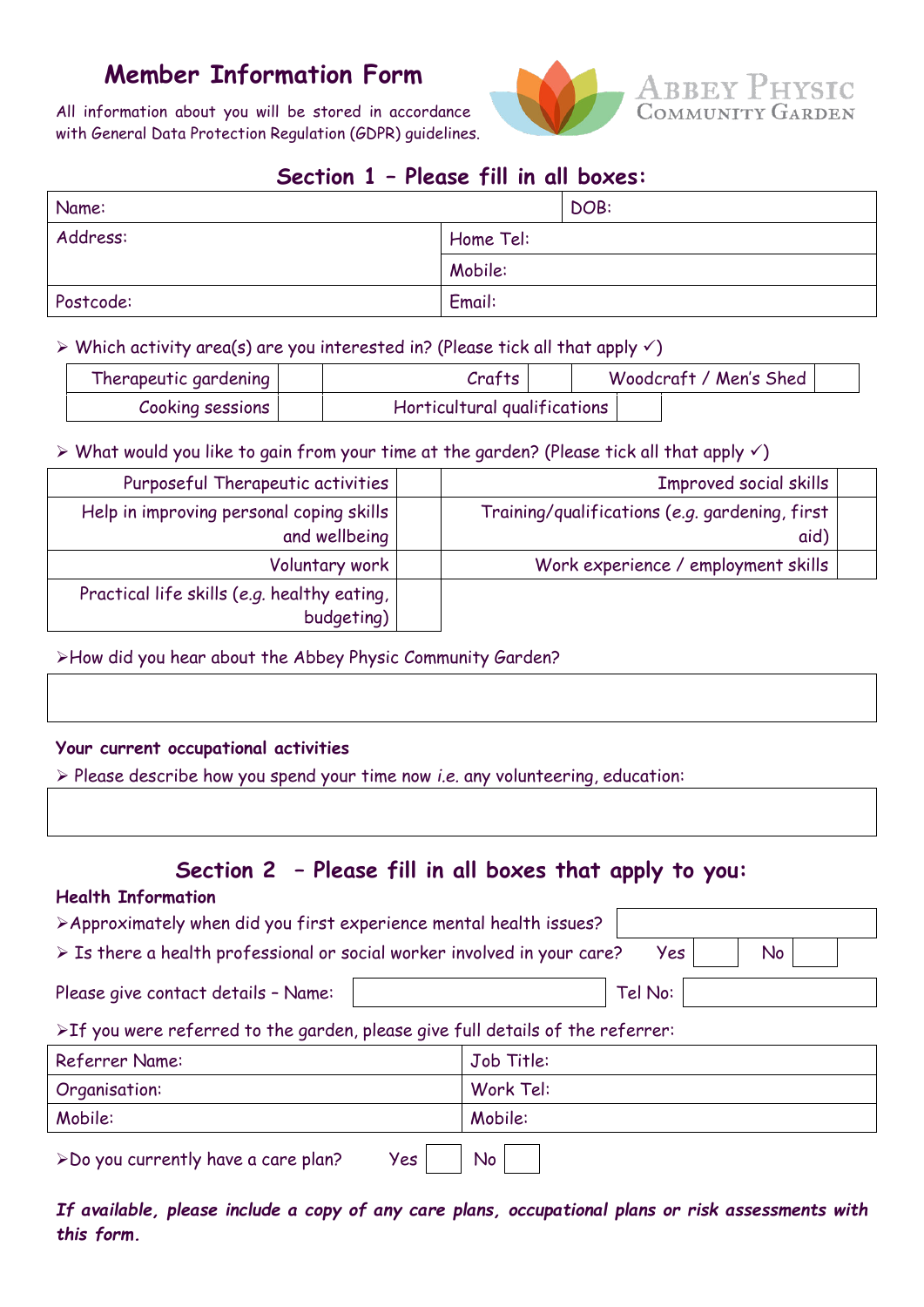# **Member Information Form**



All information about you will be stored in accordance with General Data Protection Regulation (GDPR) guidelines.

# **Section 1 – Please fill in all boxes:**

| Name:     |           | DOB: |
|-----------|-----------|------|
| Address:  | Home Tel: |      |
|           | Mobile:   |      |
| Postcode: | Email:    |      |

 $\triangleright$  Which activity area(s) are you interested in? (Please tick all that apply  $\checkmark$ )

| Therapeutic gardening | Crafts                       | Woodcraft / Men's Shed |  |
|-----------------------|------------------------------|------------------------|--|
| Cooking sessions I    | Horticultural qualifications |                        |  |

 $\triangleright$  What would you like to gain from your time at the garden? (Please tick all that apply  $\checkmark$ )

| Purposeful Therapeutic activities                         | Improved social skills                                 |  |
|-----------------------------------------------------------|--------------------------------------------------------|--|
| Help in improving personal coping skills<br>and wellbeing | Training/qualifications (e.g. gardening, first<br>aid) |  |
| Voluntary work                                            | Work experience / employment skills                    |  |
| Practical life skills (e.g. healthy eating,<br>budgeting) |                                                        |  |

How did you hear about the Abbey Physic Community Garden?

#### **Your current occupational activities**

Please describe how you spend your time now *i.e.* any volunteering, education:

## **Section 2 – Please fill in all boxes that apply to you:**

## **Health Information**

| >Approximately when did you first experience mental health issues?                             |         |                 |  |
|------------------------------------------------------------------------------------------------|---------|-----------------|--|
| $\triangleright$ Is there a health professional or social worker involved in your care?        | Yes     | No <sub>1</sub> |  |
| Please give contact details - Name:                                                            | Tel No: |                 |  |
| $\triangleright$ If you were referred to the garden, please give full details of the referrer: |         |                 |  |

| Referrer Name:                             | Job Title: |
|--------------------------------------------|------------|
| Organisation:                              | Work Tel:  |
| Mobile:                                    | Mobile:    |
| >Do you currently have a care plan?<br>Yes | <b>No</b>  |

*If available, please include a copy of any care plans, occupational plans or risk assessments with this form.*